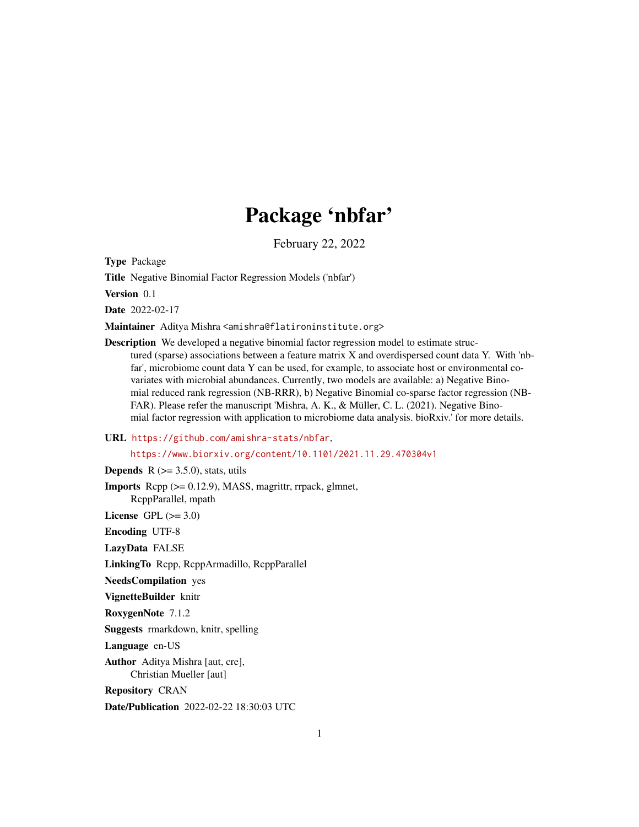## Package 'nbfar'

February 22, 2022

Type Package

Title Negative Binomial Factor Regression Models ('nbfar')

Version 0.1

Date 2022-02-17

Maintainer Aditya Mishra <amishra@flatironinstitute.org>

Description We developed a negative binomial factor regression model to estimate structured (sparse) associations between a feature matrix X and overdispersed count data Y. With 'nbfar', microbiome count data Y can be used, for example, to associate host or environmental covariates with microbial abundances. Currently, two models are available: a) Negative Binomial reduced rank regression (NB-RRR), b) Negative Binomial co-sparse factor regression (NB-FAR). Please refer the manuscript 'Mishra, A. K., & Müller, C. L. (2021). Negative Binomial factor regression with application to microbiome data analysis. bioRxiv.' for more details.

#### URL <https://github.com/amishra-stats/nbfar>,

<https://www.biorxiv.org/content/10.1101/2021.11.29.470304v1>

**Depends** R  $(>= 3.5.0)$ , stats, utils

Imports Rcpp (>= 0.12.9), MASS, magrittr, rrpack, glmnet, RcppParallel, mpath

License GPL  $(>= 3.0)$ 

Encoding UTF-8

LazyData FALSE

LinkingTo Rcpp, RcppArmadillo, RcppParallel

NeedsCompilation yes

VignetteBuilder knitr

RoxygenNote 7.1.2

Suggests rmarkdown, knitr, spelling

Language en-US

Author Aditya Mishra [aut, cre], Christian Mueller [aut]

Repository CRAN

Date/Publication 2022-02-22 18:30:03 UTC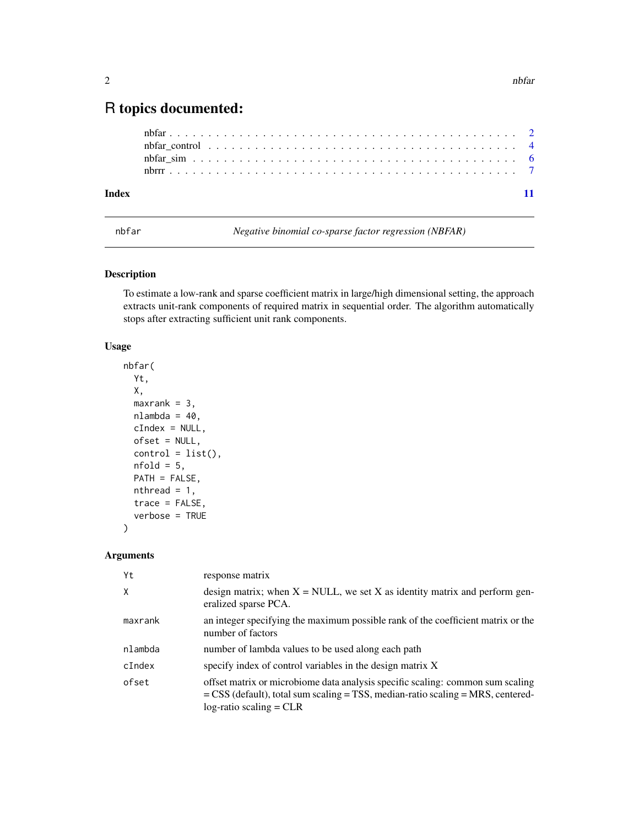### <span id="page-1-0"></span>R topics documented:

|       | nbfar control $\dots \dots \dots \dots \dots \dots \dots \dots \dots \dots \dots \dots \dots \dots \dots \dots$ |  |  |  |  |  |  |  |  |  |  |  |  |  |  |  |  |  |  |  |
|-------|-----------------------------------------------------------------------------------------------------------------|--|--|--|--|--|--|--|--|--|--|--|--|--|--|--|--|--|--|--|
|       |                                                                                                                 |  |  |  |  |  |  |  |  |  |  |  |  |  |  |  |  |  |  |  |
|       |                                                                                                                 |  |  |  |  |  |  |  |  |  |  |  |  |  |  |  |  |  |  |  |
| Index |                                                                                                                 |  |  |  |  |  |  |  |  |  |  |  |  |  |  |  |  |  |  |  |

nbfar *Negative binomial co-sparse factor regression (NBFAR)*

#### Description

To estimate a low-rank and sparse coefficient matrix in large/high dimensional setting, the approach extracts unit-rank components of required matrix in sequential order. The algorithm automatically stops after extracting sufficient unit rank components.

#### Usage

```
nbfar(
  Yt,
 X,
 maxrank = 3,
 nlambda = 40,
 cIndex = NULL,
  ofset = NULL,
  control = list(),nfold = 5,
 PATH = FALSE,
  nthread = 1,
  trace = FALSE,
  verbose = TRUE
)
```
#### Arguments

| Yt           | response matrix                                                                                                                                                                                         |
|--------------|---------------------------------------------------------------------------------------------------------------------------------------------------------------------------------------------------------|
| $\mathsf{X}$ | design matrix; when $X = NULL$ , we set X as identity matrix and perform gen-<br>eralized sparse PCA.                                                                                                   |
| maxrank      | an integer specifying the maximum possible rank of the coefficient matrix or the<br>number of factors                                                                                                   |
| nlambda      | number of lambda values to be used along each path                                                                                                                                                      |
| $c$ Index    | specify index of control variables in the design matrix X                                                                                                                                               |
| ofset        | offset matrix or microbiome data analysis specific scaling: common sum scaling<br>$=$ CSS (default), total sum scaling $=$ TSS, median-ratio scaling $=$ MRS, centered-<br>$log$ -ratio scaling = $CLR$ |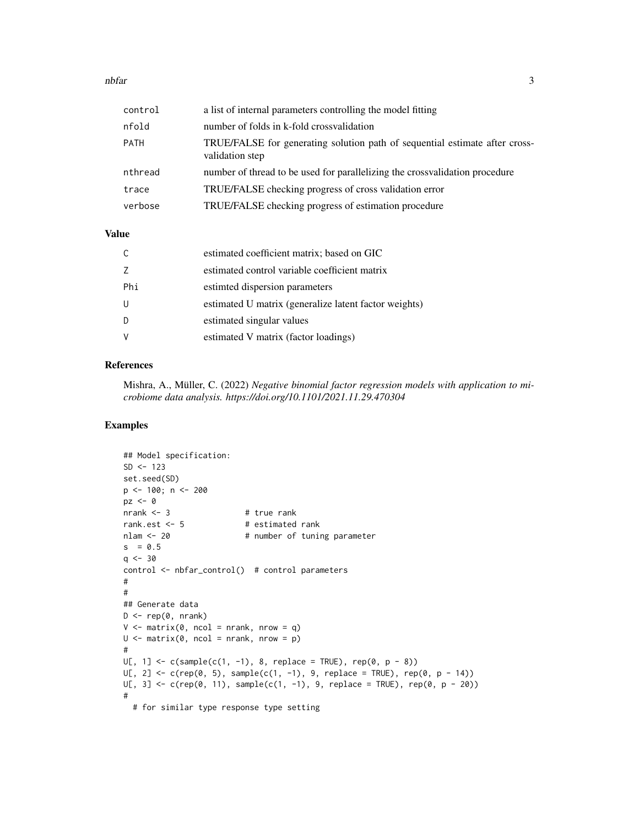#### nbfar 3

| control     | a list of internal parameters controlling the model fitting                                    |
|-------------|------------------------------------------------------------------------------------------------|
| nfold       | number of folds in k-fold crossvalidation                                                      |
| <b>PATH</b> | TRUE/FALSE for generating solution path of sequential estimate after cross-<br>validation step |
| nthread     | number of thread to be used for parallelizing the crossvalidation procedure                    |
| trace       | TRUE/FALSE checking progress of cross validation error                                         |
| verbose     | TRUE/FALSE checking progress of estimation procedure                                           |

#### Value

|     | estimated coefficient matrix; based on GIC            |
|-----|-------------------------------------------------------|
|     | estimated control variable coefficient matrix         |
| Phi | estimed dispersion parameters                         |
|     | estimated U matrix (generalize latent factor weights) |
|     | estimated singular values                             |
|     | estimated V matrix (factor loadings)                  |

#### References

Mishra, A., Müller, C. (2022) *Negative binomial factor regression models with application to microbiome data analysis. https://doi.org/10.1101/2021.11.29.470304*

#### Examples

```
## Model specification:
SD < -123set.seed(SD)
p <- 100; n <- 200
pz < -0nrank <- 3 # true rank
rank.est <- 5 # estimated rank
nlam <- 20 # number of tuning parameter
s = 0.5q \le -30control <- nbfar_control() # control parameters
#
#
## Generate data
D \leftarrow rep(0, nrank)V \leq - matrix(0, ncol = nrank, nrow = q)
U \le - matrix(0, ncol = nrank, nrow = p)
#
U[, 1] \leftarrow c(sample(c(1, -1), 8, replace = TRUE), rep(0, p - 8))U[, 2] \leftarrow c(rep(\emptyset, 5), sample(c(1, -1), 9, replace = TRUE), rep(\emptyset, p - 14))U[, 3] \leftarrow c(rep(\emptyset, 11), sample(c(1, -1), 9, replace = TRUE), rep(\emptyset, p - 2\emptyset))#
  # for similar type response type setting
```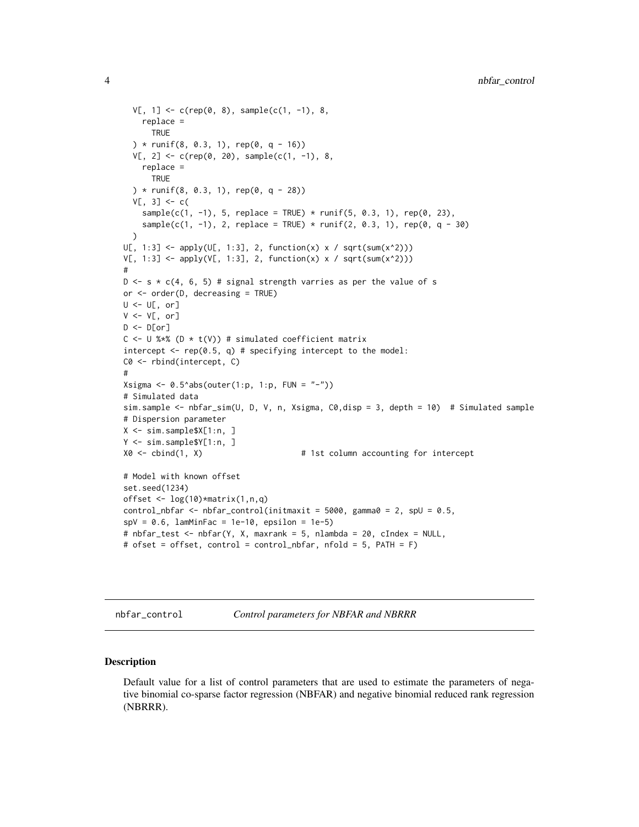```
V[, 1] \leftarrow c(rep(\emptyset, 8), sample(c(1, -1), 8),replace =
      TRUE
  ) * runif(8, 0.3, 1), rep(0, q - 16))
  V[, 2] \leq c(\text{rep}(0, 20), \text{sample}(c(1, -1), 8))replace =
      TRUE
  ) * runif(8, 0.3, 1), rep(0, q - 28))
  V[, 3] <- c(
    sample(c(1, -1), 5, replace = TRUE) * runif(5, 0.3, 1), rep(0, 23),
    sample(c(1, -1), 2, replace = TRUE) * runif(2, 0.3, 1), rep(0, q - 30)
  \lambdaU[, 1:3] \leftarrow apply(U[, 1:3], 2, function(x) \times / sqrt(sum(x^2)))V[, 1:3] \leftarrow apply(V[, 1:3], 2, function(x) \times / sqrt(sum(x^2)))#
D \leq s * c(4, 6, 5) # signal strength varries as per the value of s
or <- order(D, decreasing = TRUE)
U <- U[, or]
V \leftarrow V[, or]
D \leftarrow D[or]C \le -U %*% (D * t(V)) # simulated coefficient matrix
intercept \leq rep(0.5, q) # specifying intercept to the model:
C0 <- rbind(intercept, C)
#
Xsigma <- 0.5^*abs(outer(1:p, 1:p, FUN = "-"))
# Simulated data
sim.sample <- nbfar_sim(U, D, V, n, Xsigma, C0,disp = 3, depth = 10) # Simulated sample
# Dispersion parameter
X <- sim.sample$X[1:n, ]
Y <- sim.sample$Y[1:n, ]
X0 <- cbind(1, X) # 1st column accounting for intercept
# Model with known offset
set.seed(1234)
offset \leq log(10)*matrix(1,n,q)
control_nbfar <- nbfar_control(initmaxit = 5000, gamma0 = 2, spU = 0.5,
spv = 0.6, lamMinFac = 1e-10, epsilon = 1e-5)
# nbfar_test <- nbfar(Y, X, maxrank = 5, nlambda = 20, cIndex = NULL,
# ofset = offset, control = control_nbfar, nfold = 5, PATH = F)
```

```
nbfar_control Control parameters for NBFAR and NBRRR
```
#### **Description**

Default value for a list of control parameters that are used to estimate the parameters of negative binomial co-sparse factor regression (NBFAR) and negative binomial reduced rank regression (NBRRR).

<span id="page-3-0"></span>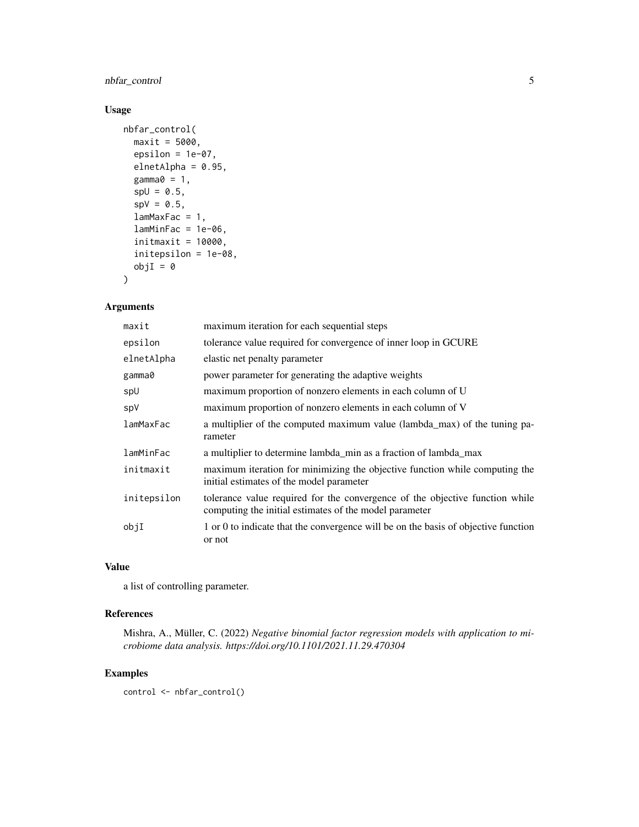nbfar\_control 5

#### Usage

```
nbfar_control(
 maxit = 5000,epsilon = 1e-07,
  elnetAlpha = 0.95,
  gamma@ = 1,spl = 0.5,
  spv = 0.5,
  lamMaxFac = 1,
  lamMinFac = 1e-06,
  initmaxit = 10000,initepsilon = 1e-08,
  objI = 0\mathcal{L}
```
#### Arguments

| maxit       | maximum iteration for each sequential steps                                                                                            |
|-------------|----------------------------------------------------------------------------------------------------------------------------------------|
| epsilon     | tolerance value required for convergence of inner loop in GCURE                                                                        |
| elnetAlpha  | elastic net penalty parameter                                                                                                          |
| gamma0      | power parameter for generating the adaptive weights                                                                                    |
| spU         | maximum proportion of nonzero elements in each column of U                                                                             |
| spV         | maximum proportion of nonzero elements in each column of V                                                                             |
| lamMaxFac   | a multiplier of the computed maximum value (lambda_max) of the tuning pa-<br>rameter                                                   |
| lamMinFac   | a multiplier to determine lambda_min as a fraction of lambda_max                                                                       |
| initmaxit   | maximum iteration for minimizing the objective function while computing the<br>initial estimates of the model parameter                |
| initepsilon | tolerance value required for the convergence of the objective function while<br>computing the initial estimates of the model parameter |
| objI        | 1 or 0 to indicate that the convergence will be on the basis of objective function<br>or not                                           |

#### Value

a list of controlling parameter.

#### References

Mishra, A., Müller, C. (2022) *Negative binomial factor regression models with application to microbiome data analysis. https://doi.org/10.1101/2021.11.29.470304*

#### Examples

control <- nbfar\_control()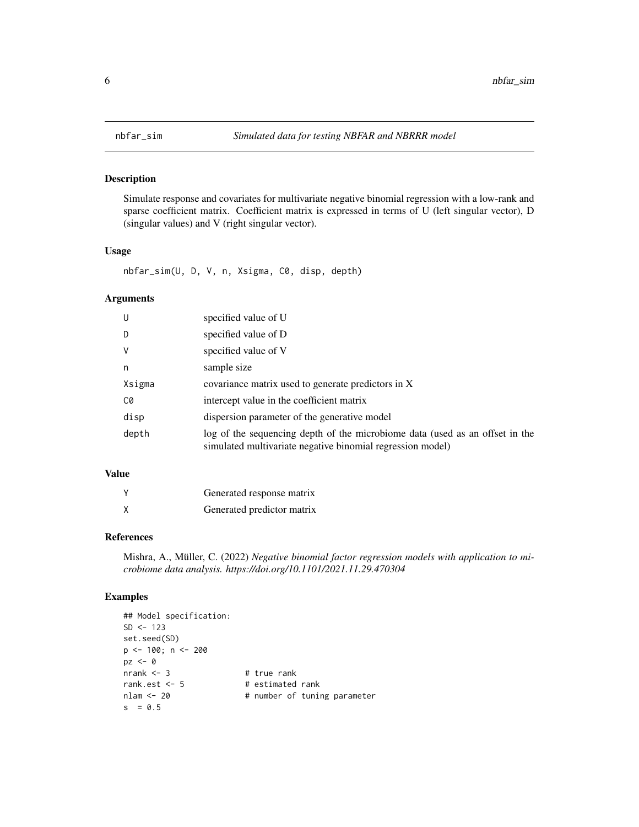#### Description

Simulate response and covariates for multivariate negative binomial regression with a low-rank and sparse coefficient matrix. Coefficient matrix is expressed in terms of U (left singular vector), D (singular values) and V (right singular vector).

#### Usage

nbfar\_sim(U, D, V, n, Xsigma, C0, disp, depth)

#### Arguments

| U      | specified value of U                                                                                                                       |
|--------|--------------------------------------------------------------------------------------------------------------------------------------------|
| D      | specified value of D                                                                                                                       |
| V      | specified value of V                                                                                                                       |
| n      | sample size                                                                                                                                |
| Xsigma | covariance matrix used to generate predictors in X                                                                                         |
| C0     | intercept value in the coefficient matrix                                                                                                  |
| disp   | dispersion parameter of the generative model                                                                                               |
| depth  | log of the sequencing depth of the microbiome data (used as an offset in the<br>simulated multivariate negative binomial regression model) |

#### Value

| Generated response matrix  |
|----------------------------|
| Generated predictor matrix |

#### References

Mishra, A., Müller, C. (2022) *Negative binomial factor regression models with application to microbiome data analysis. https://doi.org/10.1101/2021.11.29.470304*

#### Examples

```
## Model specification:
SD < -123set.seed(SD)
p <- 100; n <- 200
pz <- 0
nrank <- 3 # true rank
rank.est <- 5 # estimated rank
nlam <- 20 \# number of tuning parameter
s = 0.5
```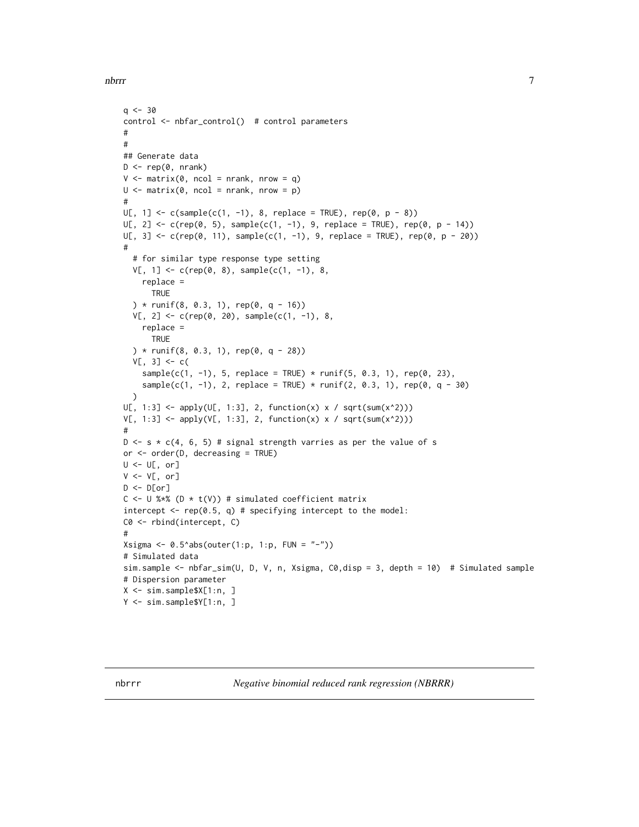<span id="page-6-0"></span>nbrrr 77

```
q \le -30control <- nbfar_control() # control parameters
#
#
## Generate data
D \leq -\text{rep}(\emptyset, \text{nrank})V \le - matrix(0, ncol = nrank, nrow = q)
U \le - matrix(0, ncol = nrank, nrow = p)
#
U[, 1] \le c(sample(c(1, -1), 8, replace = TRUE), rep(0, p - 8))U[, 2] \leq c(\text{rep}(0, 5), \text{sample}(c(1, -1), 9, \text{replace} = \text{TRUE}), \text{rep}(0, p - 14))U[, 3] < -c (rep(0, 11), sample(c(1, -1), 9, replace = TRUE), rep(0, p - 20))
#
  # for similar type response type setting
  V[, 1] \leftarrow c(rep(\emptyset, 8), sample(c(1, -1), 8),replace =
      TRUE
  ) * runif(8, 0.3, 1), rep(0, q - 16))
  V[, 2] \leq c(\text{rep}(0, 20), \text{sample}(c(1, -1), 8))replace =
      TRUE
  ) * runif(8, 0.3, 1), rep(0, q - 28))
  V[, 3] < -c(sample(c(1, -1), 5, replace = TRUE) * runif(5, 0.3, 1), rep(0, 23),
    sample(c(1, -1), 2, replace = TRUE) * runif(2, 0.3, 1), rep(0, q - 30)
  )
U[, 1:3] \leftarrow apply(U[, 1:3], 2, function(x) \times / sqrt(sum(x^2)))V[, 1:3] <- apply(V[, 1:3], 2, function(x) x / sqrt(sum(x^2)))
#
D \leq s * c(4, 6, 5) # signal strength varries as per the value of s
or <- order(D, decreasing = TRUE)
U <- U[, or]
V \leftarrow V[, or]
D \leftarrow D[or]C \le -U %*% (D * t(V)) # simulated coefficient matrix
intercept \leq rep(0.5, q) # specifying intercept to the model:
C0 <- rbind(intercept, C)
#
Xsigma <- 0.5^*abs(outer(1:p, 1:p, FUN = "-"))
# Simulated data
sim.sample <- nbfar_sim(U, D, V, n, Xsigma, C0,disp = 3, depth = 10) # Simulated sample
# Dispersion parameter
X <- sim.sample$X[1:n, ]
Y <- sim.sample$Y[1:n, ]
```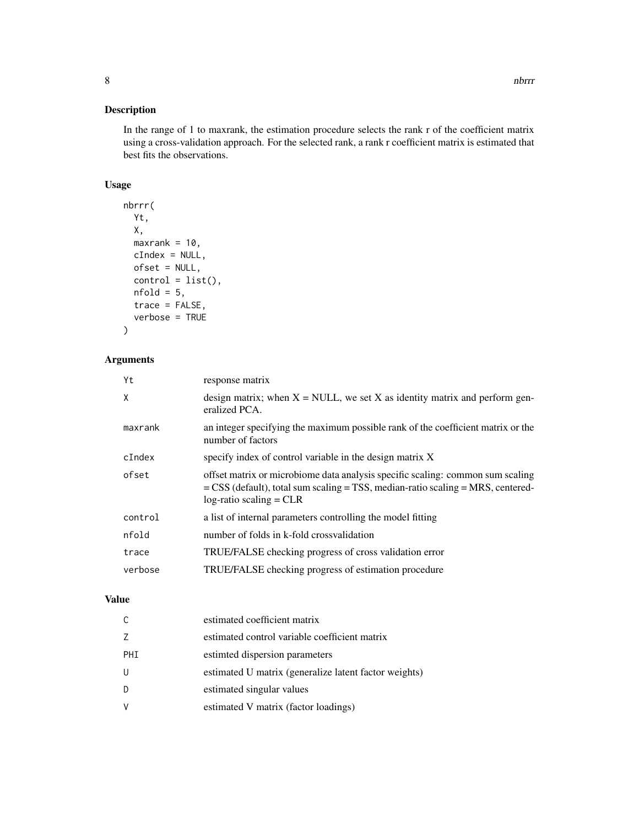#### Description

In the range of 1 to maxrank, the estimation procedure selects the rank r of the coefficient matrix using a cross-validation approach. For the selected rank, a rank r coefficient matrix is estimated that best fits the observations.

#### Usage

```
nbrrr(
 Yt,
 X,
 maxrank = 10,
 cIndex = NULL,
 ofset = NULL,
  control = list(),nfold = 5,
  trace = FALSE,
  verbose = TRUE
)
```
#### Arguments

| Yt      | response matrix                                                                                                                                                                                         |
|---------|---------------------------------------------------------------------------------------------------------------------------------------------------------------------------------------------------------|
| X       | design matrix; when $X = NULL$ , we set X as identity matrix and perform gen-<br>eralized PCA.                                                                                                          |
| maxrank | an integer specifying the maximum possible rank of the coefficient matrix or the<br>number of factors                                                                                                   |
| cIndex  | specify index of control variable in the design matrix X                                                                                                                                                |
| ofset   | offset matrix or microbiome data analysis specific scaling: common sum scaling<br>$=$ CSS (default), total sum scaling $=$ TSS, median-ratio scaling $=$ MRS, centered-<br>$log$ -ratio scaling = $CLR$ |
| control | a list of internal parameters controlling the model fitting                                                                                                                                             |
| nfold   | number of folds in k-fold crossvalidation                                                                                                                                                               |
| trace   | TRUE/FALSE checking progress of cross validation error                                                                                                                                                  |
| verbose | TRUE/FALSE checking progress of estimation procedure                                                                                                                                                    |
|         |                                                                                                                                                                                                         |

#### Value

| C   | estimated coefficient matrix                          |
|-----|-------------------------------------------------------|
| Ζ   | estimated control variable coefficient matrix         |
| PHI | estimed dispersion parameters                         |
| U   | estimated U matrix (generalize latent factor weights) |
| D   | estimated singular values                             |
| V   | estimated V matrix (factor loadings)                  |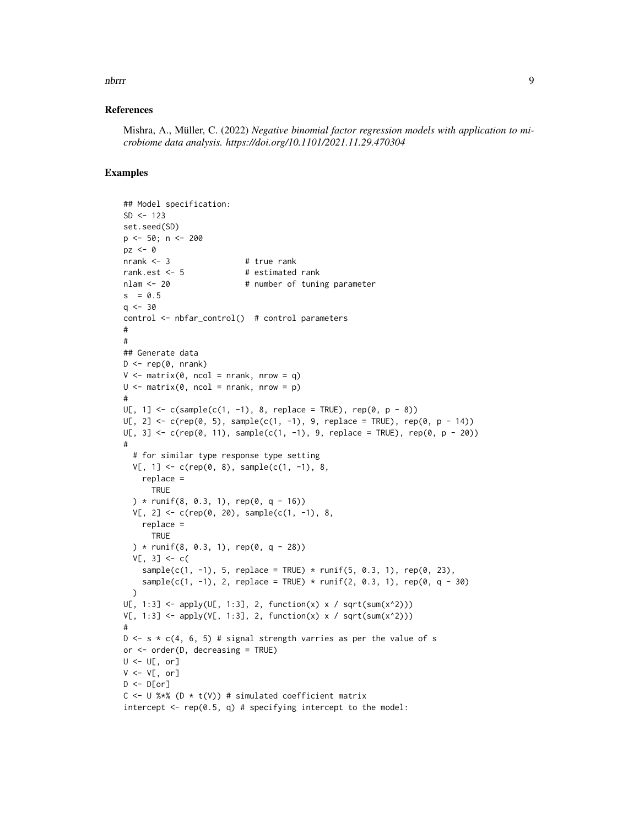#### nbrrr 90 - 1990 - 1991 - 1992 - 1993 - 1994 - 1995 - 1996 - 1997 - 1998 - 1999 - 1999 - 1999 - 1999 - 1999 - 1

#### References

Mishra, A., Müller, C. (2022) *Negative binomial factor regression models with application to microbiome data analysis. https://doi.org/10.1101/2021.11.29.470304*

#### Examples

```
## Model specification:
SD < -123set.seed(SD)
p \le -50; n \le -200pz \leq -\emptysetnrank <-3 # true rank
rank.est <- 5 # estimated rank
nlam \leq 20 \qquad # number of tuning parameter
s = 0.5q \le -30control <- nbfar_control() # control parameters
#
#
## Generate data
D \leq -\text{rep}(\emptyset, \text{nrank})V \le - matrix(0, ncol = nrank, nrow = q)
U \le - matrix(0, ncol = nrank, nrow = p)
#
U[, 1] <- c(sample(c(1, -1), 8, replace = TRUE), rep(0, p - 8))
U[, 2] \leq c (rep(0, 5), sample(c(1, -1), 9, replace = TRUE), rep(0, p - 14))
U[, 3] < -c (rep(0, 11), sample(c(1, -1), 9, replace = TRUE), rep(0, p - 20))
#
  # for similar type response type setting
  V[, 1] \leftarrow c(rep(\emptyset, 8), sample(c(1, -1), 8),replace =
      TRUE
  ) * runif(8, 0.3, 1), rep(0, q - 16))
  V[, 2] <- c(rep(0, 20), sample(c(1, -1), 8,
    replace =
      TRUE
  ) * runif(8, 0.3, 1), rep(0, q - 28))
  V[, 3] <- c(
    sample(c(1, -1), 5, replace = TRUE) * runif(5, 0.3, 1), rep(0, 23),
    sample(c(1, -1), 2, replace = TRUE) * runif(2, 0.3, 1), rep(0, q - 30)
  \lambdaU[, 1:3] \leftarrow apply(U[, 1:3], 2, function(x) \times / sqrt(sum(x^2)))V[, 1:3] <- apply(V[, 1:3], 2, function(x) x / sqrt(sum(x^2)))
#
D \leq s \times c(4, 6, 5) # signal strength varries as per the value of s
or <- order(D, decreasing = TRUE)
U <- U[, or]
V \leftarrow V[, \text{ or } ]D \leftarrow D[or]C <- U %*% (D * t(V)) # simulated coefficient matrix
intercept \leq rep(0.5, q) # specifying intercept to the model:
```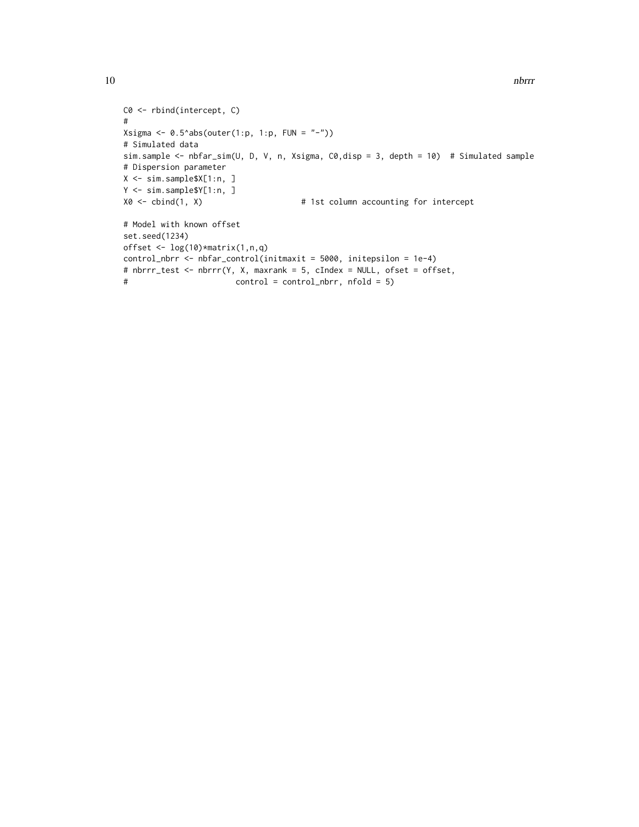```
C0 <- rbind(intercept, C)
#
Xsigma <- 0.5^*abs(outer(1:p, 1:p, FUN = "-"))
# Simulated data
sim.sample <- nbfar_sim(U, D, V, n, Xsigma, C0,disp = 3, depth = 10) # Simulated sample
# Dispersion parameter
X <- sim.sample$X[1:n, ]
Y <- sim.sample$Y[1:n, ]
X0 <- cbind(1, X) # 1st column accounting for intercept
# Model with known offset
set.seed(1234)
offset \leq log(10)*matrix(1,n,q)
control_nbrr <- nbfar_control(initmaxit = 5000, initepsilon = 1e-4)
# nbrrr_test <- nbrrr(Y, X, maxrank = 5, cIndex = NULL, ofset = offset,
# control = control_nbrr, nfold = 5)
```